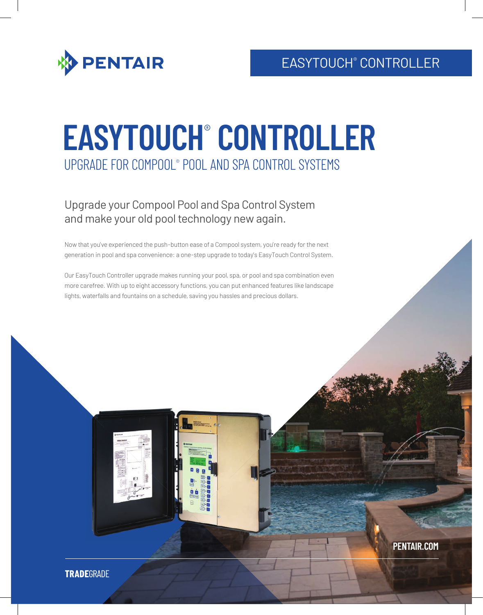

# **EASYTOUCH**®  **CONTROLLER** UPGRADE FOR COMPOOL® POOL AND SPA CONTROL SYSTEMS

## Upgrade your Compool Pool and Spa Control System and make your old pool technology new again.

Now that you've experienced the push-button ease of a Compool system, you're ready for the next generation in pool and spa convenience: a one-step upgrade to today's EasyTouch Control System.

Our EasyTouch Controller upgrade makes running your pool, spa, or pool and spa combination even more carefree. With up to eight accessory functions, you can put enhanced features like landscape lights, waterfalls and fountains on a schedule, saving you hassles and precious dollars.